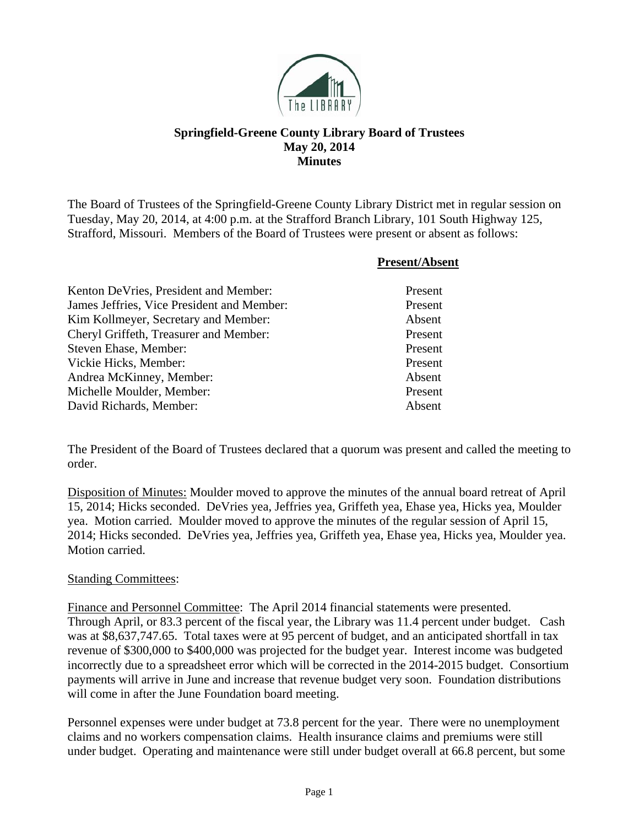

## **Springfield-Greene County Library Board of Trustees May 20, 2014 Minutes**

The Board of Trustees of the Springfield-Greene County Library District met in regular session on Tuesday, May 20, 2014, at 4:00 p.m. at the Strafford Branch Library, 101 South Highway 125, Strafford, Missouri. Members of the Board of Trustees were present or absent as follows:

|                                            | <b>Present/Absent</b> |
|--------------------------------------------|-----------------------|
| Kenton De Vries, President and Member:     | Present               |
| James Jeffries, Vice President and Member: | Present               |
| Kim Kollmeyer, Secretary and Member:       | Absent                |
| Cheryl Griffeth, Treasurer and Member:     | Present               |
| Steven Ehase, Member:                      | Present               |
| Vickie Hicks, Member:                      | Present               |
| Andrea McKinney, Member:                   | Absent                |
| Michelle Moulder, Member:                  | Present               |
| David Richards, Member:                    | Absent                |

The President of the Board of Trustees declared that a quorum was present and called the meeting to order.

Disposition of Minutes: Moulder moved to approve the minutes of the annual board retreat of April 15, 2014; Hicks seconded. DeVries yea, Jeffries yea, Griffeth yea, Ehase yea, Hicks yea, Moulder yea. Motion carried. Moulder moved to approve the minutes of the regular session of April 15, 2014; Hicks seconded. DeVries yea, Jeffries yea, Griffeth yea, Ehase yea, Hicks yea, Moulder yea. Motion carried.

## Standing Committees:

Finance and Personnel Committee: The April 2014 financial statements were presented. Through April, or 83.3 percent of the fiscal year, the Library was 11.4 percent under budget. Cash was at \$8,637,747.65. Total taxes were at 95 percent of budget, and an anticipated shortfall in tax revenue of \$300,000 to \$400,000 was projected for the budget year. Interest income was budgeted incorrectly due to a spreadsheet error which will be corrected in the 2014-2015 budget. Consortium payments will arrive in June and increase that revenue budget very soon. Foundation distributions will come in after the June Foundation board meeting.

Personnel expenses were under budget at 73.8 percent for the year. There were no unemployment claims and no workers compensation claims. Health insurance claims and premiums were still under budget. Operating and maintenance were still under budget overall at 66.8 percent, but some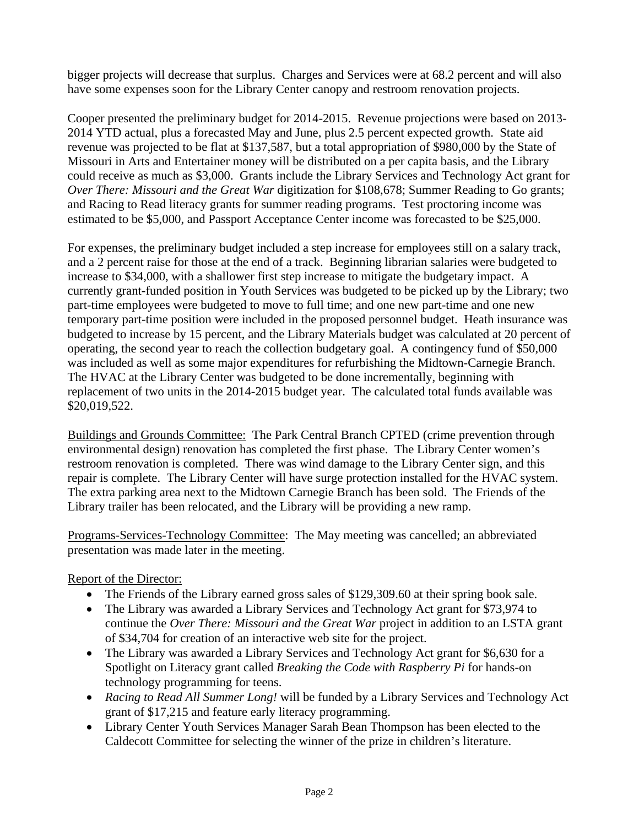bigger projects will decrease that surplus. Charges and Services were at 68.2 percent and will also have some expenses soon for the Library Center canopy and restroom renovation projects.

Cooper presented the preliminary budget for 2014-2015. Revenue projections were based on 2013- 2014 YTD actual, plus a forecasted May and June, plus 2.5 percent expected growth. State aid revenue was projected to be flat at \$137,587, but a total appropriation of \$980,000 by the State of Missouri in Arts and Entertainer money will be distributed on a per capita basis, and the Library could receive as much as \$3,000. Grants include the Library Services and Technology Act grant for *Over There: Missouri and the Great War* digitization for \$108,678; Summer Reading to Go grants; and Racing to Read literacy grants for summer reading programs. Test proctoring income was estimated to be \$5,000, and Passport Acceptance Center income was forecasted to be \$25,000.

For expenses, the preliminary budget included a step increase for employees still on a salary track, and a 2 percent raise for those at the end of a track. Beginning librarian salaries were budgeted to increase to \$34,000, with a shallower first step increase to mitigate the budgetary impact. A currently grant-funded position in Youth Services was budgeted to be picked up by the Library; two part-time employees were budgeted to move to full time; and one new part-time and one new temporary part-time position were included in the proposed personnel budget. Heath insurance was budgeted to increase by 15 percent, and the Library Materials budget was calculated at 20 percent of operating, the second year to reach the collection budgetary goal. A contingency fund of \$50,000 was included as well as some major expenditures for refurbishing the Midtown-Carnegie Branch. The HVAC at the Library Center was budgeted to be done incrementally, beginning with replacement of two units in the 2014-2015 budget year. The calculated total funds available was \$20,019,522.

Buildings and Grounds Committee: The Park Central Branch CPTED (crime prevention through environmental design) renovation has completed the first phase. The Library Center women's restroom renovation is completed. There was wind damage to the Library Center sign, and this repair is complete. The Library Center will have surge protection installed for the HVAC system. The extra parking area next to the Midtown Carnegie Branch has been sold. The Friends of the Library trailer has been relocated, and the Library will be providing a new ramp.

Programs-Services-Technology Committee: The May meeting was cancelled; an abbreviated presentation was made later in the meeting.

## Report of the Director:

- The Friends of the Library earned gross sales of \$129,309.60 at their spring book sale.
- The Library was awarded a Library Services and Technology Act grant for \$73,974 to continue the *Over There: Missouri and the Great War* project in addition to an LSTA grant of \$34,704 for creation of an interactive web site for the project.
- The Library was awarded a Library Services and Technology Act grant for \$6,630 for a Spotlight on Literacy grant called *Breaking the Code with Raspberry Pi* for hands-on technology programming for teens.
- *Racing to Read All Summer Long!* will be funded by a Library Services and Technology Act grant of \$17,215 and feature early literacy programming.
- Library Center Youth Services Manager Sarah Bean Thompson has been elected to the Caldecott Committee for selecting the winner of the prize in children's literature.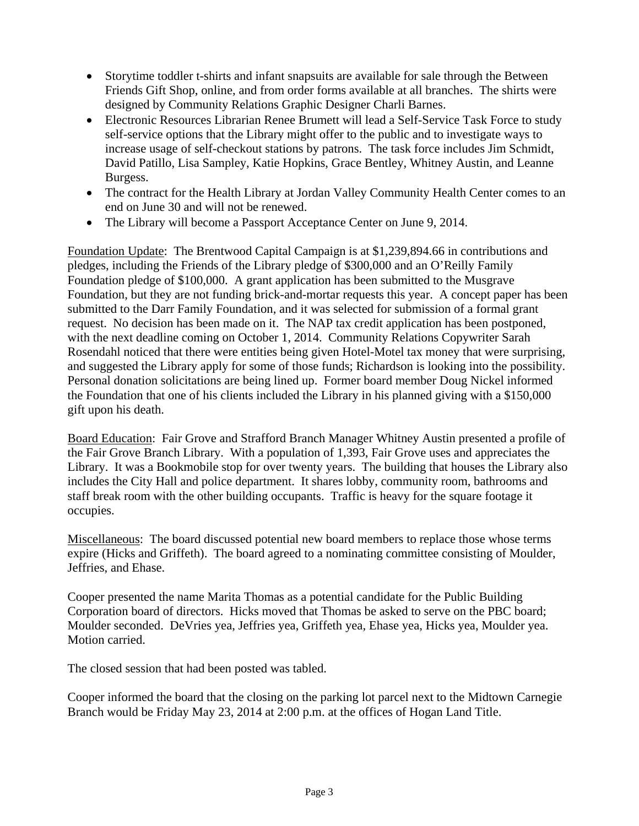- Storytime toddler t-shirts and infant snapsuits are available for sale through the Between Friends Gift Shop, online, and from order forms available at all branches. The shirts were designed by Community Relations Graphic Designer Charli Barnes.
- Electronic Resources Librarian Renee Brumett will lead a Self-Service Task Force to study self-service options that the Library might offer to the public and to investigate ways to increase usage of self-checkout stations by patrons. The task force includes Jim Schmidt, David Patillo, Lisa Sampley, Katie Hopkins, Grace Bentley, Whitney Austin, and Leanne Burgess.
- The contract for the Health Library at Jordan Valley Community Health Center comes to an end on June 30 and will not be renewed.
- The Library will become a Passport Acceptance Center on June 9, 2014.

Foundation Update: The Brentwood Capital Campaign is at \$1,239,894.66 in contributions and pledges, including the Friends of the Library pledge of \$300,000 and an O'Reilly Family Foundation pledge of \$100,000. A grant application has been submitted to the Musgrave Foundation, but they are not funding brick-and-mortar requests this year. A concept paper has been submitted to the Darr Family Foundation, and it was selected for submission of a formal grant request. No decision has been made on it. The NAP tax credit application has been postponed, with the next deadline coming on October 1, 2014. Community Relations Copywriter Sarah Rosendahl noticed that there were entities being given Hotel-Motel tax money that were surprising, and suggested the Library apply for some of those funds; Richardson is looking into the possibility. Personal donation solicitations are being lined up. Former board member Doug Nickel informed the Foundation that one of his clients included the Library in his planned giving with a \$150,000 gift upon his death.

Board Education: Fair Grove and Strafford Branch Manager Whitney Austin presented a profile of the Fair Grove Branch Library. With a population of 1,393, Fair Grove uses and appreciates the Library. It was a Bookmobile stop for over twenty years. The building that houses the Library also includes the City Hall and police department. It shares lobby, community room, bathrooms and staff break room with the other building occupants. Traffic is heavy for the square footage it occupies.

Miscellaneous: The board discussed potential new board members to replace those whose terms expire (Hicks and Griffeth). The board agreed to a nominating committee consisting of Moulder, Jeffries, and Ehase.

Cooper presented the name Marita Thomas as a potential candidate for the Public Building Corporation board of directors. Hicks moved that Thomas be asked to serve on the PBC board; Moulder seconded. DeVries yea, Jeffries yea, Griffeth yea, Ehase yea, Hicks yea, Moulder yea. Motion carried.

The closed session that had been posted was tabled.

Cooper informed the board that the closing on the parking lot parcel next to the Midtown Carnegie Branch would be Friday May 23, 2014 at 2:00 p.m. at the offices of Hogan Land Title.